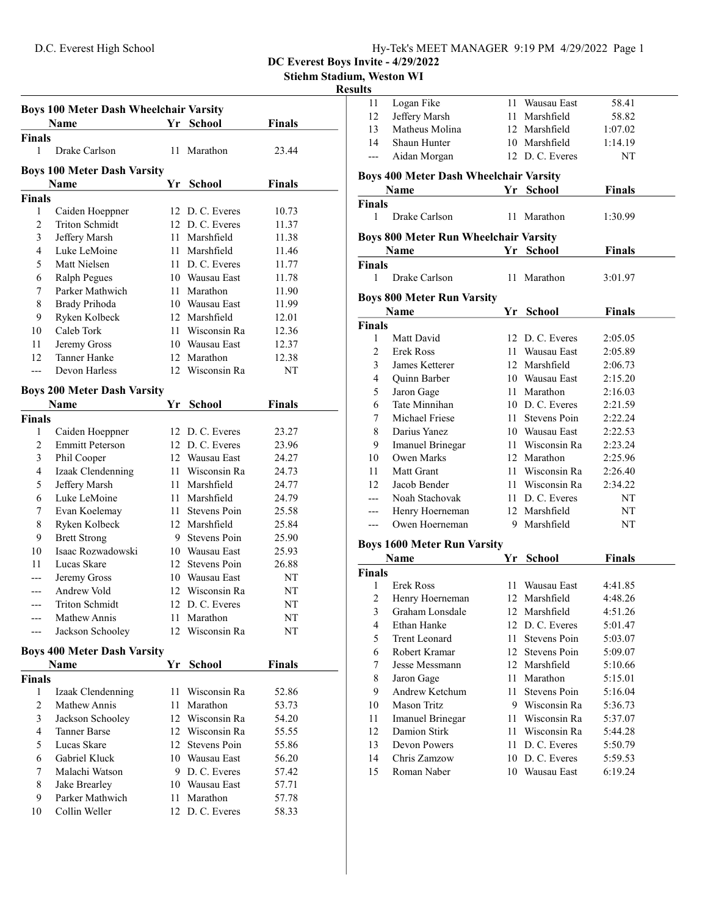Stiehm Stadium, Weston WI

#### Results

|                | <b>Boys 100 Meter Dash Wheelchair Varsity</b> |    |                 |               |  |
|----------------|-----------------------------------------------|----|-----------------|---------------|--|
|                | Name                                          | Yr | <b>School</b>   | <b>Finals</b> |  |
| Finals         |                                               |    |                 |               |  |
| 1              | Drake Carlson                                 |    | 11 Marathon     | 23.44         |  |
|                | <b>Boys 100 Meter Dash Varsity</b>            |    |                 |               |  |
|                | Name                                          | Yr | <b>School</b>   | <b>Finals</b> |  |
| Finals         |                                               |    |                 |               |  |
| 1              | Caiden Hoeppner                               |    | 12 D.C. Everes  | 10.73         |  |
| $\overline{c}$ | Triton Schmidt                                |    | 12 D. C. Everes | 11.37         |  |
| 3              | Jeffery Marsh                                 |    | 11 Marshfield   | 11.38         |  |
| $\overline{4}$ | Luke LeMoine                                  |    | 11 Marshfield   | 11.46         |  |
| 5              | Matt Nielsen                                  |    | 11 D. C. Everes | 11.77         |  |
| 6              | Ralph Pegues                                  |    | 10 Wausau East  | 11.78         |  |
| 7              | Parker Mathwich                               |    | 11 Marathon     | 11.90         |  |
| 8              | Brady Prihoda                                 |    | 10 Wausau East  | 11.99         |  |
| 9              | Ryken Kolbeck                                 |    | 12 Marshfield   | 12.01         |  |
| 10             | Caleb Tork                                    |    | 11 Wisconsin Ra | 12.36         |  |
| 11             | Jeremy Gross                                  |    | 10 Wausau East  | 12.37         |  |
| 12             | Tanner Hanke                                  |    | 12 Marathon     | 12.38         |  |
| $---$          | Devon Harless                                 |    | 12 Wisconsin Ra | NΤ            |  |
|                | <b>Boys 200 Meter Dash Varsity</b>            |    |                 |               |  |
|                | <b>Name</b>                                   | Yr | <b>School</b>   | <b>Finals</b> |  |
| Finals         |                                               |    |                 |               |  |
| 1              | Caiden Hoeppner                               |    | 12 D. C. Everes | 23.27         |  |
| $\overline{c}$ | <b>Emmitt Peterson</b>                        |    | 12 D.C. Everes  | 23.96         |  |
| 3              | Phil Cooper                                   |    | 12 Wausau East  | 24.27         |  |
| 4              | Izaak Clendenning                             |    | 11 Wisconsin Ra | 24.73         |  |
| 5              | Jeffery Marsh                                 |    | 11 Marshfield   | 24.77         |  |
| 6              | Luke LeMoine                                  |    | 11 Marshfield   | 24.79         |  |
| 7              | Evan Koelemay                                 |    | 11 Stevens Poin | 25.58         |  |
| 8              | Ryken Kolbeck                                 |    | 12 Marshfield   | 25.84         |  |
| 9              | <b>Brett Strong</b>                           |    | 9 Stevens Poin  | 25.90         |  |
| 10             | Isaac Rozwadowski                             |    | 10 Wausau East  | 25.93         |  |
| 11             | Lucas Skare                                   |    | 12 Stevens Poin | 26.88         |  |
|                | Jeremy Gross                                  |    | 10 Wausau East  | NT            |  |
|                | Andrew Vold                                   |    | 12 Wisconsin Ra | NT            |  |
| ---            | <b>Triton Schmidt</b>                         |    | 12 D.C. Everes  | ΝT            |  |
|                | Mathew Annis                                  |    | 11 Marathon     | NT            |  |
|                | Jackson Schooley                              |    | 12 Wisconsin Ra | NT            |  |
|                | <b>Boys 400 Meter Dash Varsity</b>            |    |                 |               |  |
|                | Name                                          | Yr | <b>School</b>   | <b>Finals</b> |  |
| Finals         |                                               |    |                 |               |  |
| 1              | Izaak Clendenning                             |    | 11 Wisconsin Ra | 52.86         |  |
| 2              | Mathew Annis                                  |    | 11 Marathon     | 53.73         |  |
| 3              | Jackson Schooley                              |    | 12 Wisconsin Ra | 54.20         |  |
| $\overline{4}$ | <b>Tanner Barse</b>                           |    | 12 Wisconsin Ra | 55.55         |  |
| 5              | Lucas Skare                                   |    | 12 Stevens Poin | 55.86         |  |
| 6              | Gabriel Kluck                                 |    | 10 Wausau East  | 56.20         |  |
| 7              | Malachi Watson                                |    | 9 D.C. Everes   | 57.42         |  |
| 8              | Jake Brearley                                 |    | 10 Wausau East  | 57.71         |  |
| 9              | Parker Mathwich                               |    | 11 Marathon     | 57.78         |  |
| 10             | Collin Weller                                 |    | 12 D.C. Everes  | 58.33         |  |
|                |                                               |    |                 |               |  |

| ,u1t5                   |                                               |            |                     |               |  |  |  |  |
|-------------------------|-----------------------------------------------|------------|---------------------|---------------|--|--|--|--|
| 11                      | Logan Fike                                    |            | 11 Wausau East      | 58.41         |  |  |  |  |
| 12                      | Jeffery Marsh                                 |            | 11 Marshfield       | 58.82         |  |  |  |  |
| 13                      | Matheus Molina                                |            | 12 Marshfield       | 1:07.02       |  |  |  |  |
| 14                      | Shaun Hunter                                  |            | 10 Marshfield       | 1:14.19       |  |  |  |  |
| ---                     | Aidan Morgan                                  |            | 12 D.C. Everes      | NΤ            |  |  |  |  |
|                         |                                               |            |                     |               |  |  |  |  |
|                         | <b>Boys 400 Meter Dash Wheelchair Varsity</b> |            |                     |               |  |  |  |  |
|                         | <b>Name</b>                                   | ${\bf Yr}$ | <b>School</b>       | <b>Finals</b> |  |  |  |  |
| <b>Finals</b>           |                                               |            |                     |               |  |  |  |  |
| 1                       | Drake Carlson                                 |            | 11 Marathon         | 1:30.99       |  |  |  |  |
|                         | <b>Boys 800 Meter Run Wheelchair Varsity</b>  |            |                     |               |  |  |  |  |
|                         | Name                                          | Yr         | <b>School</b>       | <b>Finals</b> |  |  |  |  |
| <b>Finals</b>           |                                               |            |                     |               |  |  |  |  |
| 1                       | Drake Carlson                                 |            | 11 Marathon         | 3:01.97       |  |  |  |  |
|                         |                                               |            |                     |               |  |  |  |  |
|                         | <b>Boys 800 Meter Run Varsity</b>             |            |                     |               |  |  |  |  |
|                         | Name                                          |            | Yr School           | <b>Finals</b> |  |  |  |  |
| <b>Finals</b>           |                                               |            |                     |               |  |  |  |  |
| $\mathbf{1}$            | Matt David                                    |            | 12 D. C. Everes     | 2:05.05       |  |  |  |  |
| 2                       | Erek Ross                                     |            | 11 Wausau East      | 2:05.89       |  |  |  |  |
| 3                       | James Ketterer                                |            | 12 Marshfield       | 2:06.73       |  |  |  |  |
| 4                       | Quinn Barber                                  |            | 10 Wausau East      | 2:15.20       |  |  |  |  |
| 5                       | Jaron Gage                                    |            | 11 Marathon         | 2:16.03       |  |  |  |  |
| 6                       | Tate Minnihan                                 |            | 10 D.C. Everes      | 2:21.59       |  |  |  |  |
| 7                       | Michael Friese                                |            | 11 Stevens Poin     | 2:22.24       |  |  |  |  |
| 8                       | Darius Yanez                                  |            | 10 Wausau East      | 2:22.53       |  |  |  |  |
| 9                       | Imanuel Brinegar                              |            | 11 Wisconsin Ra     | 2:23.24       |  |  |  |  |
| 10                      | Owen Marks                                    |            | 12 Marathon         | 2:25.96       |  |  |  |  |
| 11                      | Matt Grant                                    |            | 11 Wisconsin Ra     | 2:26.40       |  |  |  |  |
| 12                      | Jacob Bender                                  |            | 11 Wisconsin Ra     | 2:34.22       |  |  |  |  |
| ---                     | Noah Stachovak                                |            | 11 D. C. Everes     | NT            |  |  |  |  |
| ---                     | Henry Hoerneman                               |            | 12 Marshfield       | NT            |  |  |  |  |
| ---                     | Owen Hoerneman                                |            | 9 Marshfield        | NT            |  |  |  |  |
|                         | <b>Boys 1600 Meter Run Varsity</b>            |            |                     |               |  |  |  |  |
|                         | <b>Name</b>                                   |            | Yr School           | <b>Finals</b> |  |  |  |  |
| Finals                  |                                               |            |                     |               |  |  |  |  |
| 1                       | Erek Ross                                     |            | 11 Wausau East      | 4:41.85       |  |  |  |  |
| 2                       | Henry Hoerneman                               |            | 12 Marshfield       | 4:48.26       |  |  |  |  |
| $\overline{\mathbf{3}}$ | Graham Lonsdale                               |            | 12 Marshfield       | 4:51.26       |  |  |  |  |
| $\overline{\mathbf{4}}$ | Ethan Hanke                                   |            | 12 D. C. Everes     | 5:01.47       |  |  |  |  |
| 5                       | <b>Trent Leonard</b>                          | 11         | <b>Stevens Poin</b> | 5:03.07       |  |  |  |  |
| 6                       | Robert Kramar                                 |            | 12 Stevens Poin     | 5:09.07       |  |  |  |  |
| 7                       | Jesse Messmann                                |            | 12 Marshfield       | 5:10.66       |  |  |  |  |
| 8                       | Jaron Gage                                    |            | 11 Marathon         | 5:15.01       |  |  |  |  |
| 9                       | Andrew Ketchum                                | 11 -       | Stevens Poin        | 5:16.04       |  |  |  |  |
| 10                      | Mason Tritz                                   |            | 9 Wisconsin Ra      | 5:36.73       |  |  |  |  |
| 11                      | <b>Imanuel Brinegar</b>                       |            | 11 Wisconsin Ra     | 5:37.07       |  |  |  |  |
| 12                      | Damion Stirk                                  | 11 -       | Wisconsin Ra        | 5:44.28       |  |  |  |  |
| 13                      | Devon Powers                                  |            | 11 D. C. Everes     | 5:50.79       |  |  |  |  |
| 14                      | Chris Zamzow                                  |            | 10 D.C. Everes      | 5:59.53       |  |  |  |  |
| 15                      | Roman Naber                                   |            | 10 Wausau East      | 6:19.24       |  |  |  |  |
|                         |                                               |            |                     |               |  |  |  |  |
|                         |                                               |            |                     |               |  |  |  |  |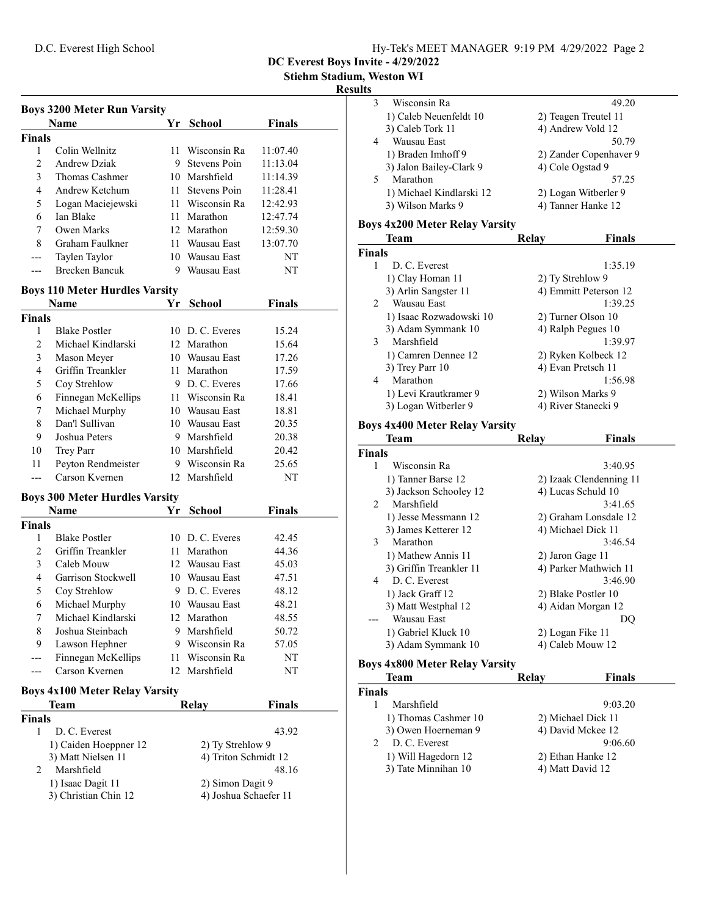DC Everest Boys Invite - 4/29/2022

Stiehm Stadium, Weston WI

#### Results

| <b>Boys 3200 Meter Run Varsity</b> |                                       |                  |                       |               |  |
|------------------------------------|---------------------------------------|------------------|-----------------------|---------------|--|
|                                    | <b>Name</b>                           | Yr               | <b>School</b>         | <b>Finals</b> |  |
| <b>Finals</b>                      |                                       |                  |                       |               |  |
| 1                                  | Colin Wellnitz                        |                  | 11 Wisconsin Ra       | 11:07.40      |  |
| $\overline{c}$                     | <b>Andrew Dziak</b>                   |                  | 9 Stevens Poin        | 11:13.04      |  |
| 3                                  | Thomas Cashmer                        |                  | 10 Marshfield         | 11:14.39      |  |
| 4                                  | Andrew Ketchum                        |                  | 11 Stevens Poin       | 11:28.41      |  |
| 5                                  | Logan Maciejewski                     |                  | 11 Wisconsin Ra       | 12:42.93      |  |
| 6                                  | Ian Blake                             |                  | 11 Marathon           | 12:47.74      |  |
| 7                                  | Owen Marks                            |                  | 12 Marathon           | 12:59.30      |  |
| 8                                  | Graham Faulkner                       |                  | 11 Wausau East        | 13:07.70      |  |
|                                    | Taylen Taylor                         |                  | 10 Wausau East        | NΤ            |  |
| ---                                | <b>Brecken Bancuk</b>                 |                  | 9 Wausau East         | NT            |  |
|                                    | <b>Boys 110 Meter Hurdles Varsity</b> |                  |                       |               |  |
|                                    | <b>Name</b>                           | Yr               | <b>School</b>         | <b>Finals</b> |  |
| <b>Finals</b>                      |                                       |                  |                       |               |  |
| 1                                  | <b>Blake Postler</b>                  |                  | 10 D.C. Everes        | 15.24         |  |
| $\overline{2}$                     | Michael Kindlarski                    |                  | 12 Marathon           | 15.64         |  |
| 3                                  | Mason Meyer                           |                  | 10 Wausau East        | 17.26         |  |
| 4                                  | Griffin Treankler                     |                  | 11 Marathon           | 17.59         |  |
| 5                                  | Coy Strehlow                          |                  | 9 D. C. Everes        | 17.66         |  |
| 6                                  | Finnegan McKellips                    |                  | 11 Wisconsin Ra       | 18.41         |  |
| 7                                  | Michael Murphy                        |                  | 10 Wausau East        | 18.81         |  |
| 8                                  | Dan'l Sullivan                        |                  | 10 Wausau East        | 20.35         |  |
| 9                                  | Joshua Peters                         |                  | 9 Marshfield          | 20.38         |  |
|                                    |                                       |                  | 10 Marshfield         |               |  |
| 10                                 | Trey Parr                             |                  | 9 Wisconsin Ra        | 20.42         |  |
| 11                                 | Peyton Rendmeister<br>Carson Kvernen  |                  | 12 Marshfield         | 25.65<br>NT   |  |
|                                    |                                       |                  |                       |               |  |
|                                    | <b>Boys 300 Meter Hurdles Varsity</b> |                  |                       |               |  |
|                                    | <b>Name</b>                           | Υr               | <b>School</b>         | Finals        |  |
| <b>Finals</b>                      |                                       |                  |                       |               |  |
| 1                                  | <b>Blake Postler</b>                  |                  | 10 D.C. Everes        | 42.45         |  |
| 2                                  | Griffin Treankler                     |                  | 11 Marathon           | 44.36         |  |
| 3                                  | Caleb Mouw                            |                  | 12 Wausau East        | 45.03         |  |
| 4                                  | Garrison Stockwell                    |                  | 10 Wausau East        | 47.51         |  |
| 5                                  | Coy Strehlow                          | 9                | D. C. Everes          | 48.12         |  |
| 6                                  | Michael Murphy                        |                  | 10 Wausau East        | 48.21         |  |
| 7                                  | Michael Kindlarski                    |                  | 12 Marathon           | 48.55         |  |
| 8                                  | Joshua Steinbach                      | 9.               | Marshfield            | 50.72         |  |
| 9                                  | Lawson Hephner                        |                  | 9 Wisconsin Ra        | 57.05         |  |
|                                    | Finnegan McKellips                    |                  | 11 Wisconsin Ra       | NT            |  |
| ---                                | Carson Kvernen                        |                  | 12 Marshfield         | NT            |  |
|                                    | <b>Boys 4x100 Meter Relay Varsity</b> |                  |                       |               |  |
|                                    | Team                                  |                  | <b>Relay</b>          | <b>Finals</b> |  |
| <b>Finals</b>                      |                                       |                  |                       |               |  |
| $\mathbf{1}$                       | D. C. Everest                         |                  |                       | 43.92         |  |
|                                    | 1) Caiden Hoeppner 12                 |                  | 2) Ty Strehlow 9      |               |  |
|                                    | 3) Matt Nielsen 11                    |                  | 4) Triton Schmidt 12  |               |  |
| 2                                  | Marshfield                            |                  |                       | 48.16         |  |
|                                    | 1) Isaac Dagit 11                     | 2) Simon Dagit 9 |                       |               |  |
|                                    | 3) Christian Chin 12                  |                  | 4) Joshua Schaefer 11 |               |  |
|                                    |                                       |                  |                       |               |  |

| Wisconsin Ra             | 49.20                  |
|--------------------------|------------------------|
| 1) Caleb Neuenfeldt 10   | 2) Teagen Treutel 11   |
| 3) Caleb Tork 11         | 4) Andrew Vold 12      |
| Wausau East              | 50.79                  |
| 1) Braden Imhoff 9       | 2) Zander Copenhaver 9 |
| 3) Jalon Bailey-Clark 9  | 4) Cole Ogstad 9       |
| Marathon                 | 57.25                  |
| 1) Michael Kindlarski 12 | 2) Logan Witberler 9   |
| 3) Wilson Marks 9        | 4) Tanner Hanke 12     |
|                          |                        |

# Boys 4x200 Meter Relay Varsity

|               | <b>Team</b>             | Relay            | <b>Finals</b>         |
|---------------|-------------------------|------------------|-----------------------|
| <b>Finals</b> |                         |                  |                       |
|               | D. C. Everest           |                  | 1:35.19               |
|               | 1) Clay Homan 11        | 2) Ty Strehlow 9 |                       |
|               | 3) Arlin Sangster 11    |                  | 4) Emmitt Peterson 12 |
| 2             | Wausau East             |                  | 1:39.25               |
|               | 1) Isaac Rozwadowski 10 |                  | 2) Turner Olson 10    |
|               | 3) Adam Symmank 10      |                  | 4) Ralph Pegues 10    |
| 3             | Marshfield              |                  | 1:39.97               |
|               | 1) Camren Dennee 12     |                  | 2) Ryken Kolbeck 12   |
|               | $3)$ Trey Parr 10       |                  | 4) Evan Pretsch 11    |
| 4             | Marathon                |                  | 1:56.98               |
|               | 1) Levi Krautkramer 9   |                  | 2) Wilson Marks 9     |
|               | 3) Logan Witberler 9    |                  | 4) River Stanecki 9   |

# Boys 4x400 Meter Relay Varsity

|                | Team                                                         | Relay            | <b>Finals</b>           |
|----------------|--------------------------------------------------------------|------------------|-------------------------|
| <b>Finals</b>  |                                                              |                  |                         |
| 1              | Wisconsin Ra                                                 |                  | 3:40.95                 |
|                | 1) Tanner Barse 12                                           |                  | 2) Izaak Clendenning 11 |
|                | 3) Jackson Schooley 12                                       |                  | 4) Lucas Schuld 10      |
| $\mathfrak{D}$ | Marshfield                                                   |                  | 3:41.65                 |
|                | 1) Jesse Messmann 12                                         |                  | 2) Graham Lonsdale 12   |
|                | 3) James Ketterer 12                                         |                  | 4) Michael Dick 11      |
| 3              | Marathon                                                     |                  | 3:46.54                 |
|                | 1) Mathew Annis 11                                           | 2) Jaron Gage 11 |                         |
|                | 3) Griffin Treankler 11                                      |                  | 4) Parker Mathwich 11   |
| 4              | D. C. Everest                                                |                  | 3:46.90                 |
|                | 1) Jack Graff 12                                             |                  | 2) Blake Postler 10     |
|                | 3) Matt Westphal 12                                          |                  | 4) Aidan Morgan 12      |
|                | Wausau East                                                  |                  | DQ                      |
|                | 1) Gabriel Kluck 10                                          | 2) Logan Fike 11 |                         |
|                | 3) Adam Symmank 10                                           |                  | 4) Caleb Mouw 12        |
|                | $\sim$ 0.00 $\sim$ $\sim$ $\sim$ $\sim$ $\sim$ $\sim$ $\sim$ |                  |                         |

## Boys 4x800 Meter Relay Varsity

| Team                           | Relay            | <b>Finals</b>      |
|--------------------------------|------------------|--------------------|
| <b>Finals</b>                  |                  |                    |
| Marshfield                     |                  | 9:03.20            |
| 1) Thomas Cashmer 10           |                  | 2) Michael Dick 11 |
| 3) Owen Hoerneman 9            |                  | 4) David Mckee 12  |
| D. C. Everest<br>$\mathcal{P}$ |                  | 9:06.60            |
| 1) Will Hagedorn 12            |                  | 2) Ethan Hanke 12  |
| 3) Tate Minnihan 10            | 4) Matt David 12 |                    |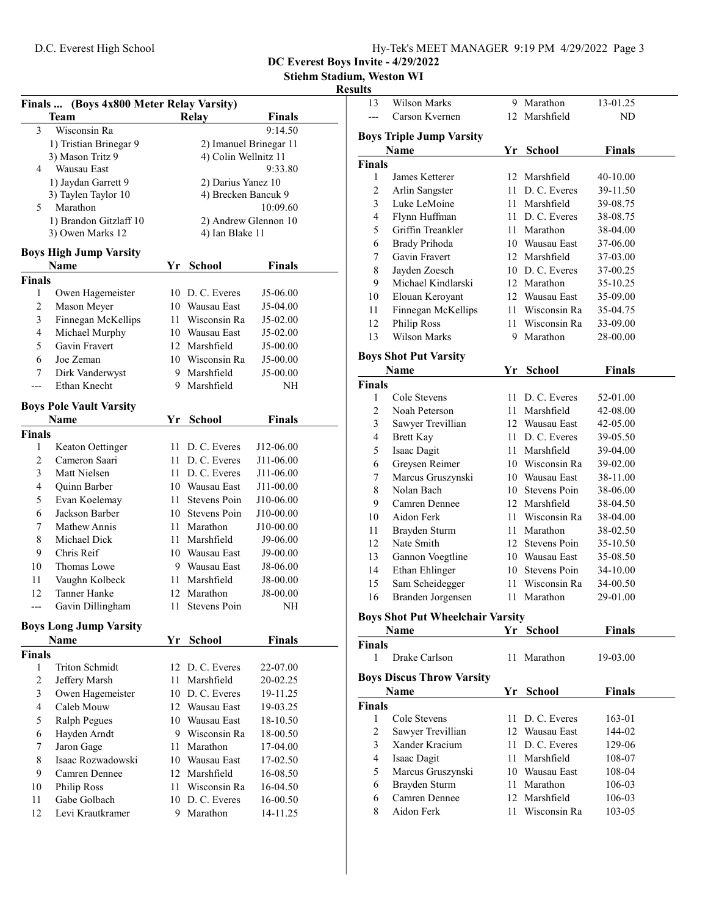Stiehm Stadium, Weston WI

# Results

| Finals  (Boys 4x800 Meter Relay Varsity) |                                |      |                        |               |  |
|------------------------------------------|--------------------------------|------|------------------------|---------------|--|
|                                          | <b>Team</b>                    |      | Relay                  | <b>Finals</b> |  |
| 3                                        | Wisconsin Ra                   |      |                        | 9:14.50       |  |
|                                          | 1) Tristian Brinegar 9         |      | 2) Imanuel Brinegar 11 |               |  |
|                                          | 3) Mason Tritz 9               |      | 4) Colin Wellnitz 11   |               |  |
| 4                                        | Wausau East                    |      |                        | 9:33.80       |  |
|                                          | 1) Jaydan Garrett 9            |      | 2) Darius Yanez 10     |               |  |
|                                          | 3) Taylen Taylor 10            |      | 4) Brecken Bancuk 9    |               |  |
| 5                                        | Marathon                       |      |                        | 10:09.60      |  |
|                                          | 1) Brandon Gitzlaff 10         |      | 2) Andrew Glennon 10   |               |  |
|                                          | 3) Owen Marks 12               |      | 4) Ian Blake 11        |               |  |
|                                          | <b>Boys High Jump Varsity</b>  |      |                        |               |  |
|                                          | Name                           | Yr   | <b>School</b>          | <b>Finals</b> |  |
| <b>Finals</b>                            |                                |      |                        |               |  |
| 1                                        | Owen Hagemeister               |      | 10 D.C. Everes         | J5-06.00      |  |
| $\overline{c}$                           | Mason Meyer                    |      | 10 Wausau East         | J5-04.00      |  |
| 3                                        | Finnegan McKellips             |      | 11 Wisconsin Ra        | J5-02.00      |  |
| 4                                        | Michael Murphy                 |      | 10 Wausau East         | J5-02.00      |  |
| 5                                        | Gavin Fravert                  |      | 12 Marshfield          | J5-00.00      |  |
| 6                                        | Joe Zeman                      |      | 10 Wisconsin Ra        | J5-00.00      |  |
| 7                                        | Dirk Vanderwyst                |      | 9 Marshfield           | J5-00.00      |  |
| ---                                      | Ethan Knecht                   |      | 9 Marshfield           | NΗ            |  |
|                                          |                                |      |                        |               |  |
|                                          | <b>Boys Pole Vault Varsity</b> |      |                        |               |  |
|                                          | Name                           | Yr   | <b>School</b>          | <b>Finals</b> |  |
| <b>Finals</b>                            |                                |      |                        |               |  |
| 1                                        | Keaton Oettinger               | 11-  | D. C. Everes           | J12-06.00     |  |
| 2                                        | Cameron Saari                  |      | 11 D. C. Everes        | J11-06.00     |  |
| 3                                        | Matt Nielsen                   |      | 11 D. C. Everes        | J11-06.00     |  |
| 4                                        | Quinn Barber                   |      | 10 Wausau East         | J11-00.00     |  |
| 5                                        | Evan Koelemay                  | 11 - | Stevens Poin           | J10-06.00     |  |
| 6                                        | Jackson Barber                 |      | 10 Stevens Poin        | J10-00.00     |  |
| 7                                        | Mathew Annis                   |      | 11 Marathon            | J10-00.00     |  |
| 8                                        | Michael Dick                   |      | 11 Marshfield          | J9-06.00      |  |
| 9                                        | Chris Reif                     |      | 10 Wausau East         | J9-00.00      |  |
| 10                                       | Thomas Lowe                    |      | 9 Wausau East          | J8-06.00      |  |
| 11                                       | Vaughn Kolbeck                 |      | 11 Marshfield          | J8-00.00      |  |
| 12                                       | Tanner Hanke                   |      | 12 Marathon            | J8-00.00      |  |
| ---                                      | Gavin Dillingham               | 11-  | Stevens Poin           | NΗ            |  |
|                                          | <b>Boys Long Jump Varsity</b>  |      |                        |               |  |
|                                          | Name                           | Yr   | <b>School</b>          | <b>Finals</b> |  |
| <b>Finals</b>                            |                                |      |                        |               |  |
| 1                                        | <b>Triton Schmidt</b>          |      | 12 D. C. Everes        | 22-07.00      |  |
| $\overline{2}$                           | Jeffery Marsh                  | 11   | Marshfield             | 20-02.25      |  |
| 3                                        | Owen Hagemeister               |      | 10 D.C. Everes         | 19-11.25      |  |
| 4                                        | Caleb Mouw                     |      | 12 Wausau East         | 19-03.25      |  |
| 5                                        | <b>Ralph Pegues</b>            |      | 10 Wausau East         | 18-10.50      |  |
| 6                                        | Hayden Arndt                   |      | 9 Wisconsin Ra         | 18-00.50      |  |
| 7                                        | Jaron Gage                     | 11 - | Marathon               | 17-04.00      |  |
| 8                                        | Isaac Rozwadowski              |      | 10 Wausau East         | 17-02.50      |  |
| 9                                        | Camren Dennee                  |      | 12 Marshfield          | 16-08.50      |  |
| 10                                       | Philip Ross                    | 11.  | Wisconsin Ra           | 16-04.50      |  |
| 11                                       | Gabe Golbach                   |      | 10 D.C. Everes         | 16-00.50      |  |
| 12                                       | Levi Krautkramer               | 9    | Marathon               | 14-11.25      |  |
|                                          |                                |      |                        |               |  |

| 13                                 | <b>Wilson Marks</b>                     |    | 9 Marathon      | 13-01.25      |  |  |
|------------------------------------|-----------------------------------------|----|-----------------|---------------|--|--|
|                                    | Carson Kvernen                          |    | 12 Marshfield   | ND            |  |  |
|                                    |                                         |    |                 |               |  |  |
|                                    | <b>Boys Triple Jump Varsity</b>         |    |                 |               |  |  |
|                                    | Name                                    | Yr | <b>School</b>   | <b>Finals</b> |  |  |
| <b>Finals</b>                      |                                         |    |                 |               |  |  |
| 1                                  | James Ketterer                          |    | 12 Marshfield   | 40-10.00      |  |  |
| $\mathfrak{2}$                     | Arlin Sangster                          |    | 11 D. C. Everes | 39-11.50      |  |  |
| 3                                  | Luke LeMoine                            |    | 11 Marshfield   | 39-08.75      |  |  |
| 4                                  | Flynn Huffman                           |    | 11 D. C. Everes | 38-08.75      |  |  |
| 5                                  | Griffin Treankler                       |    | 11 Marathon     | 38-04.00      |  |  |
| 6                                  | Brady Prihoda                           |    | 10 Wausau East  | 37-06.00      |  |  |
| 7                                  | Gavin Fravert                           |    | 12 Marshfield   | 37-03.00      |  |  |
| 8                                  | Jayden Zoesch                           |    | 10 D.C. Everes  | 37-00.25      |  |  |
| 9                                  | Michael Kindlarski                      |    | 12 Marathon     | 35-10.25      |  |  |
| 10                                 | Elouan Keroyant                         |    | 12 Wausau East  | 35-09.00      |  |  |
| 11                                 | Finnegan McKellips                      |    | 11 Wisconsin Ra | 35-04.75      |  |  |
| 12                                 | Philip Ross                             |    | 11 Wisconsin Ra | 33-09.00      |  |  |
| 13                                 | <b>Wilson Marks</b>                     |    | 9 Marathon      | 28-00.00      |  |  |
|                                    |                                         |    |                 |               |  |  |
|                                    | <b>Boys Shot Put Varsity</b>            |    |                 |               |  |  |
|                                    | Name                                    |    | Yr School       | Finals        |  |  |
| <b>Finals</b>                      |                                         |    |                 |               |  |  |
| 1                                  | Cole Stevens                            |    | 11 D. C. Everes | 52-01.00      |  |  |
| 2                                  | Noah Peterson                           |    | 11 Marshfield   | 42-08.00      |  |  |
| 3                                  | Sawyer Trevillian                       |    | 12 Wausau East  | 42-05.00      |  |  |
| 4                                  | <b>Brett Kay</b>                        |    | 11 D. C. Everes | 39-05.50      |  |  |
| 5                                  | Isaac Dagit                             |    | 11 Marshfield   | 39-04.00      |  |  |
| 6                                  | Greysen Reimer                          |    | 10 Wisconsin Ra | 39-02.00      |  |  |
| 7                                  | Marcus Gruszynski                       |    | 10 Wausau East  | 38-11.00      |  |  |
| $\,$ $\,$                          | Nolan Bach                              |    | 10 Stevens Poin | 38-06.00      |  |  |
| 9                                  | Camren Dennee                           |    | 12 Marshfield   | 38-04.50      |  |  |
| 10                                 | Aidon Ferk                              |    | 11 Wisconsin Ra | 38-04.00      |  |  |
| 11                                 | Brayden Sturm                           |    | 11 Marathon     | 38-02.50      |  |  |
| 12                                 | Nate Smith                              |    | 12 Stevens Poin | 35-10.50      |  |  |
| 13                                 | Gannon Voegtline                        |    | 10 Wausau East  | 35-08.50      |  |  |
| 14                                 | Ethan Ehlinger                          |    | 10 Stevens Poin | 34-10.00      |  |  |
| 15                                 | Sam Scheidegger                         |    | 11 Wisconsin Ra | 34-00.50      |  |  |
| 16                                 | Branden Jorgensen                       |    | 11 Marathon     | 29-01.00      |  |  |
|                                    |                                         |    |                 |               |  |  |
|                                    | <b>Boys Shot Put Wheelchair Varsity</b> |    |                 |               |  |  |
|                                    | <b>Name</b>                             |    | Yr School       | Finals        |  |  |
| <b>Finals</b>                      |                                         |    |                 |               |  |  |
| 1                                  | Drake Carlson                           | 11 | Marathon        | 19-03.00      |  |  |
|                                    | <b>Boys Discus Throw Varsity</b>        |    |                 |               |  |  |
| <b>School</b><br><b>Name</b><br>Yr |                                         |    |                 | <b>Finals</b> |  |  |
| <b>Finals</b>                      |                                         |    |                 |               |  |  |
| 1                                  | Cole Stevens                            | 11 | D. C. Everes    | 163-01        |  |  |
| $\mathfrak{2}$                     | Sawyer Trevillian                       |    | 12 Wausau East  | 144-02        |  |  |
| 3                                  | Xander Kracium                          |    | 11 D.C. Everes  |               |  |  |
|                                    |                                         |    |                 | 129-06        |  |  |
| 4                                  | Isaac Dagit                             |    | 11 Marshfield   | 108-07        |  |  |
| 5                                  | Marcus Gruszynski                       |    | 10 Wausau East  | 108-04        |  |  |
| 6                                  | Brayden Sturm                           |    | 11 Marathon     | 106-03        |  |  |
| 6                                  | Camren Dennee                           |    | 12 Marshfield   | 106-03        |  |  |
| 8                                  | Aidon Ferk                              | 11 | Wisconsin Ra    | 103-05        |  |  |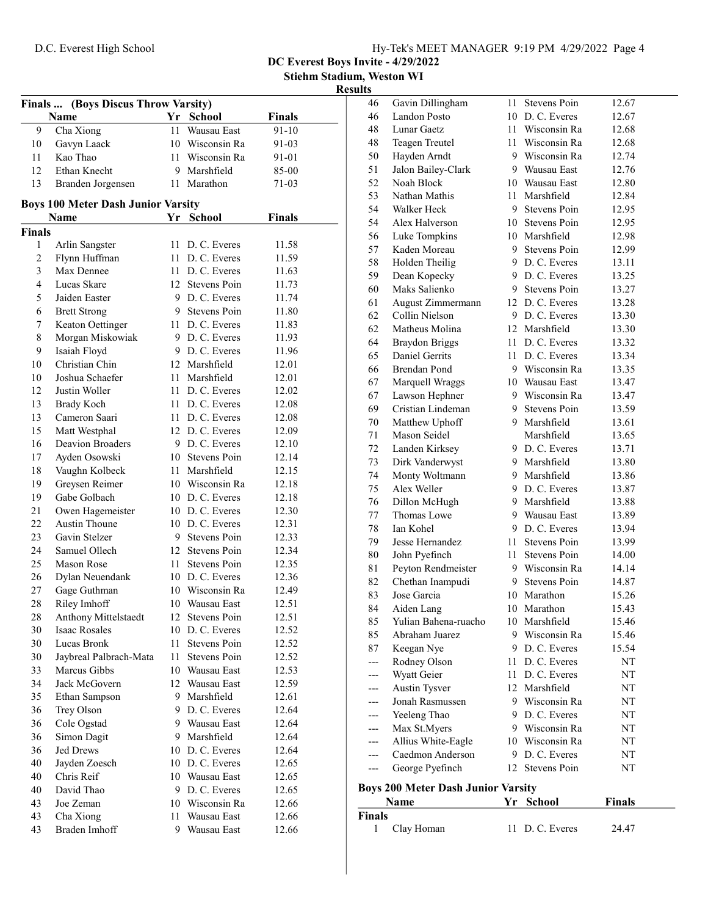Stiehm Stadium, Weston WI

# $Results$ </u>

| (Boys Discus Throw Varsity)<br>Finals |                                           |          |                              |               |
|---------------------------------------|-------------------------------------------|----------|------------------------------|---------------|
|                                       | Name                                      | Yr       | <b>School</b>                | Finals        |
| 9                                     | Cha Xiong                                 | 11       | Wausau East                  | $91 - 10$     |
| 10                                    | Gavyn Laack                               |          | 10 Wisconsin Ra              | 91-03         |
| 11                                    | Kao Thao                                  |          | 11 Wisconsin Ra              | 91-01         |
| 12                                    | Ethan Knecht                              |          | 9 Marshfield                 | 85-00         |
| 13                                    | Branden Jorgensen                         |          | 11 Marathon                  | 71-03         |
|                                       | <b>Boys 100 Meter Dash Junior Varsity</b> |          |                              |               |
|                                       | Name                                      |          | Yr School                    | <b>Finals</b> |
| <b>Finals</b>                         |                                           |          |                              |               |
| 1                                     | Arlin Sangster                            |          | 11 D. C. Everes              | 11.58         |
| 2                                     | Flynn Huffman                             |          | 11 D. C. Everes              | 11.59         |
| 3                                     | Max Dennee                                |          | 11 D. C. Everes              | 11.63         |
| 4                                     | Lucas Skare                               |          | 12 Stevens Poin              | 11.73         |
| 5                                     | Jaiden Easter                             |          | 9 D.C. Everes                | 11.74         |
| 6                                     | <b>Brett Strong</b>                       |          | 9 Stevens Poin               | 11.80         |
| 7                                     | Keaton Oettinger                          |          | 11 D. C. Everes              | 11.83         |
| 8                                     | Morgan Miskowiak                          |          | 9 D.C. Everes                | 11.93         |
| 9                                     | Isaiah Floyd                              |          | 9 D.C. Everes                | 11.96         |
| 10                                    | Christian Chin                            |          | 12 Marshfield                | 12.01         |
| 10                                    | Joshua Schaefer                           |          | 11 Marshfield                | 12.01         |
| 12                                    | Justin Woller                             |          | 11 D. C. Everes              | 12.02         |
| 13                                    | Brady Koch                                |          | 11 D. C. Everes              | 12.08         |
| 13                                    | Cameron Saari                             |          | 11 D. C. Everes              | 12.08         |
| 15                                    | Matt Westphal                             |          | 12 D. C. Everes              | 12.09         |
| 16                                    | <b>Deavion Broaders</b>                   |          | 9 D. C. Everes               | 12.10         |
| 17                                    |                                           |          | 10 Stevens Poin              | 12.14         |
| 18                                    | Ayden Osowski                             | 11       | Marshfield                   | 12.15         |
| 19                                    | Vaughn Kolbeck<br>Greysen Reimer          |          | 10 Wisconsin Ra              | 12.18         |
| 19                                    | Gabe Golbach                              |          | 10 D.C. Everes               | 12.18         |
| 21                                    |                                           |          | 10 D.C. Everes               | 12.30         |
| 22                                    | Owen Hagemeister<br><b>Austin Thoune</b>  |          | 10 D.C. Everes               | 12.31         |
| 23                                    | Gavin Stelzer                             |          | 9 Stevens Poin               | 12.33         |
| 24                                    | Samuel Ollech                             |          | 12 Stevens Poin              | 12.34         |
| 25                                    | Mason Rose                                | 11 -     | Stevens Poin                 | 12.35         |
| 26                                    |                                           |          | 10 D.C. Everes               | 12.36         |
|                                       | Dylan Neuendank                           |          |                              |               |
| 27                                    | Gage Guthman                              |          | 10 Wisconsin Ra              | 12.49         |
| 28                                    | Riley Imhoff                              |          | 10 Wausau East               | 12.51         |
| 28                                    | Anthony Mittelstaedt<br>Isaac Rosales     | 12<br>10 | Stevens Poin<br>D. C. Everes | 12.51         |
| 30<br>30                              | Lucas Bronk                               | 11       | Stevens Poin                 | 12.52         |
|                                       |                                           |          |                              | 12.52         |
| 30                                    | Jaybreal Palbrach-Mata                    | 11       | Stevens Poin                 | 12.52         |
| 33                                    | Marcus Gibbs<br>Jack McGovern             |          | 10 Wausau East               | 12.53         |
| 34                                    |                                           |          | 12 Wausau East               | 12.59         |
| 35                                    | Ethan Sampson                             | 9        | Marshfield                   | 12.61         |
| 36                                    | Trey Olson                                | 9        | D. C. Everes                 | 12.64         |
| 36                                    | Cole Ogstad                               | 9.       | Wausau East                  | 12.64         |
| 36                                    | Simon Dagit                               | 9.       | Marshfield                   | 12.64         |
| 36                                    | Jed Drews                                 | 10       | D. C. Everes                 | 12.64         |
| 40                                    | Jayden Zoesch                             |          | 10 D.C. Everes               | 12.65         |
| 40                                    | Chris Reif                                |          | 10 Wausau East               | 12.65         |
| 40                                    | David Thao                                |          | 9 D.C. Everes                | 12.65         |
| 43                                    | Joe Zeman                                 |          | 10 Wisconsin Ra              | 12.66         |
| 43                                    | Cha Xiong                                 | 11       | Wausau East                  | 12.66         |
| 43                                    | Braden Imhoff                             | 9        | Wausau East                  | 12.66         |

| п:       | Name                                      | Yr   | School                            | <b>Finals</b>  |
|----------|-------------------------------------------|------|-----------------------------------|----------------|
|          | <b>Boys 200 Meter Dash Junior Varsity</b> |      |                                   |                |
|          |                                           |      |                                   |                |
| ---      | George Pyefinch                           | 12   | Stevens Poin                      | NT             |
| ---      | Caedmon Anderson                          |      | 9 D.C. Everes                     | NΤ             |
| ---      | Allius White-Eagle                        |      | 10 Wisconsin Ra                   | NT             |
|          | Max St.Myers                              |      | 9 Wisconsin Ra                    | NT             |
|          | Yeeleng Thao                              |      | 9 D.C. Everes                     | NΤ             |
|          | Jonah Rasmussen                           |      | 9 Wisconsin Ra                    | NT             |
| ---      | Austin Tysver                             |      | 12 Marshfield                     | NT             |
|          | Wyatt Geier                               |      | 11 D. C. Everes                   | NT             |
| ---      | Rodney Olson                              |      | 11 D. C. Everes                   | NT             |
| 87       | Keegan Nye                                |      | 9 D.C. Everes                     | 15.54          |
| 85       | Abraham Juarez                            | 9.   | Wisconsin Ra                      | 15.46          |
| 85       | Yulian Bahena-ruacho                      | 10   | Marshfield                        | 15.46          |
| 84       | Aiden Lang                                |      | 10 Marathon                       | 15.43          |
| 83       | Jose Garcia                               |      | 10 Marathon                       | 15.26          |
| 82       | Chethan Inampudi                          |      | 9 Stevens Poin                    | 14.87          |
| 81       | Peyton Rendmeister                        |      | 9 Wisconsin Ra                    | 14.14          |
| 80       | John Pyefinch                             | 11 - | Stevens Poin                      | 14.00          |
| 79       | Jesse Hernandez                           | 11 - | <b>Stevens Poin</b>               | 13.99          |
| 78       | Ian Kohel                                 |      | 9 D.C. Everes                     | 13.94          |
| 77       | Thomas Lowe                               |      | 9 Wausau East                     | 13.89          |
| 76       | Dillon McHugh                             |      | 9 Marshfield                      | 13.88          |
| 75       | Alex Weller                               |      | 9 D.C. Everes                     | 13.87          |
| 74       | Monty Woltmann                            |      | 9 Marshfield                      | 13.86          |
| 73       | Dirk Vanderwyst                           |      | 9 Marshfield                      | 13.80          |
| 72       | Landen Kirksey                            |      | 9 D.C. Everes                     | 13.71          |
| $71\,$   | Mason Seidel                              |      | Marshfield                        | 13.65          |
| 70       | Matthew Uphoff                            |      | 9 Marshfield                      | 13.61          |
| 69       | Cristian Lindeman                         |      | 9 Stevens Poin                    | 13.59          |
| 67       | Lawson Hephner                            |      | 9 Wisconsin Ra                    | 13.47          |
| 67       | Marquell Wraggs                           |      | 10 Wausau East                    | 13.47          |
| 66       | <b>Brendan Pond</b>                       |      | 9 Wisconsin Ra                    | 13.35          |
| 65       |                                           |      | 11 D. C. Everes                   | 13.34          |
| 64       | <b>Braydon Briggs</b><br>Daniel Gerrits   |      | 11 D. C. Everes                   | 13.32          |
| 62       |                                           |      | 12 Marshfield                     | 13.30          |
|          | Matheus Molina                            |      |                                   | 13.30          |
| 62       | August Zimmermann<br>Collin Nielson       |      | 9 D.C. Everes                     | 13.28          |
| 61       |                                           |      | 12 D.C. Everes                    | 13.27          |
| 60       | Dean Kopecky<br>Maks Salienko             |      | 9 Stevens Poin                    | 13.25          |
| 59       | Holden Theilig                            |      | 9 D.C. Everes                     |                |
| 57<br>58 |                                           |      | 9 D.C. Everes                     | 12.99<br>13.11 |
|          | Luke Tompkins<br>Kaden Moreau             |      | 9 Stevens Poin                    |                |
| 56       |                                           |      | 10 Marshfield                     | 12.98          |
| 54       | Alex Halverson                            | 10   | Stevens Poin                      | 12.95<br>12.95 |
| 54       | Walker Heck                               | 9.   | Stevens Poin                      | 12.84          |
| 53       | Nathan Mathis                             | 11 - | Marshfield                        | 12.80          |
| 52       | Noah Block                                |      | 10 Wausau East                    |                |
| 51       | Hayden Arndt<br>Jalon Bailey-Clark        |      | 9 Wausau East                     | 12.74<br>12.76 |
| 48<br>50 | Teagen Treutel                            |      | 11 Wisconsin Ra<br>9 Wisconsin Ra | 12.68          |
| 48       | Lunar Gaetz                               |      | 11 Wisconsin Ra                   | 12.68          |
| 46       | Landon Posto                              |      | 10 D.C. Everes                    | 12.67          |
| 46       | Gavin Dillingham                          | 11 - | <b>Stevens Poin</b>               | 12.67          |
|          |                                           |      |                                   |                |

| Name          | r r scnool     | <b>Finals</b> |
|---------------|----------------|---------------|
| <b>Finals</b> |                |               |
| 1 Clay Homan  | 11 D.C. Everes | 24.47         |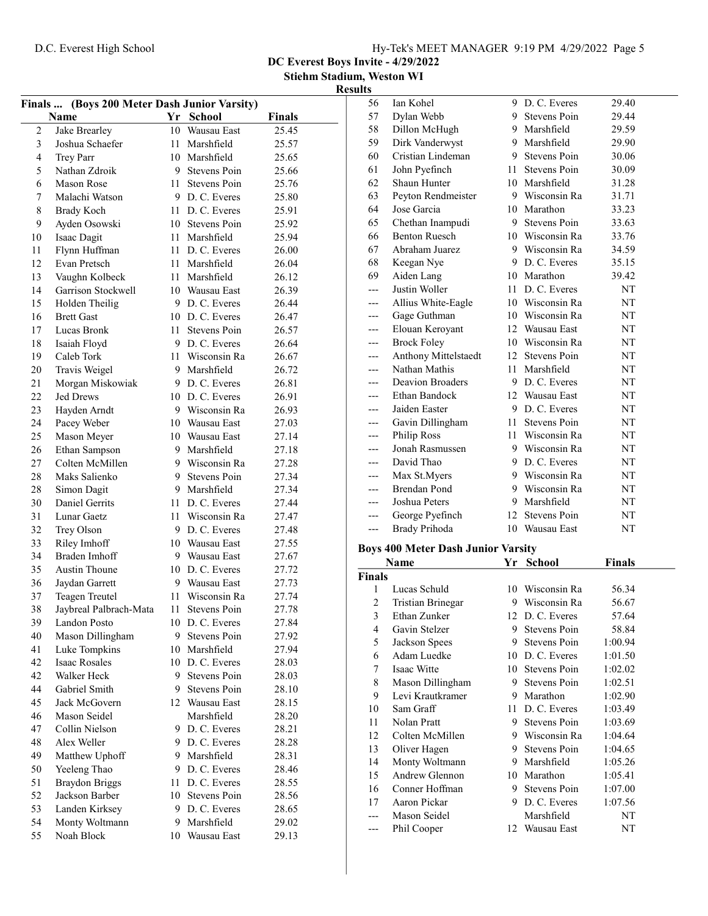$\overline{\phantom{0}}$ 

|  | Hy-Tek's MEET MANAGER 9:19 PM 4/29/2022 Page 5 |  |  |
|--|------------------------------------------------|--|--|
|  |                                                |  |  |

DC Everest Boys Invite - 4/29/2022 Stiehm Stadium, Weston WI Results

| Finals  (Boys 200 Meter Dash Junior Varsity) |                        |      |                    |               |  |
|----------------------------------------------|------------------------|------|--------------------|---------------|--|
|                                              | Name                   |      | Yr School          | <b>Finals</b> |  |
| $\mathfrak{2}$                               | Jake Brearley          | 10   | <b>Wausau East</b> | 25.45         |  |
| 3                                            | Joshua Schaefer        | 11 - | Marshfield         | 25.57         |  |
| 4                                            | Trey Parr              |      | 10 Marshfield      | 25.65         |  |
| 5                                            | Nathan Zdroik          |      | 9 Stevens Poin     | 25.66         |  |
| 6                                            | Mason Rose             | 11 - | Stevens Poin       | 25.76         |  |
| 7                                            | Malachi Watson         |      | 9 D.C. Everes      | 25.80         |  |
| 8                                            | <b>Brady Koch</b>      |      | 11 D. C. Everes    | 25.91         |  |
| 9                                            | Ayden Osowski          |      | 10 Stevens Poin    | 25.92         |  |
| 10                                           | Isaac Dagit            |      | 11 Marshfield      | 25.94         |  |
| 11                                           | Flynn Huffman          |      | 11 D. C. Everes    | 26.00         |  |
| 12                                           | Evan Pretsch           |      | 11 Marshfield      | 26.04         |  |
| 13                                           | Vaughn Kolbeck         |      | 11 Marshfield      | 26.12         |  |
| 14                                           | Garrison Stockwell     |      | 10 Wausau East     | 26.39         |  |
| 15                                           | Holden Theilig         |      | 9 D.C. Everes      | 26.44         |  |
| 16                                           | <b>Brett Gast</b>      |      | 10 D.C. Everes     | 26.47         |  |
|                                              |                        |      |                    |               |  |
| 17                                           | Lucas Bronk            | 11.  | Stevens Poin       | 26.57         |  |
| 18                                           | Isaiah Floyd           |      | 9 D. C. Everes     | 26.64         |  |
| 19                                           | Caleb Tork             | 11.  | Wisconsin Ra       | 26.67         |  |
| 20                                           | Travis Weigel          |      | 9 Marshfield       | 26.72         |  |
| 21                                           | Morgan Miskowiak       |      | 9 D.C. Everes      | 26.81         |  |
| 22                                           | <b>Jed Drews</b>       |      | 10 D.C. Everes     | 26.91         |  |
| 23                                           | Hayden Arndt           |      | 9 Wisconsin Ra     | 26.93         |  |
| 24                                           | Pacey Weber            |      | 10 Wausau East     | 27.03         |  |
| 25                                           | Mason Meyer            |      | 10 Wausau East     | 27.14         |  |
| 26                                           | Ethan Sampson          | 9.   | Marshfield         | 27.18         |  |
| 27                                           | Colten McMillen        |      | 9 Wisconsin Ra     | 27.28         |  |
| 28                                           | Maks Salienko          | 9    | Stevens Poin       | 27.34         |  |
| 28                                           | Simon Dagit            | 9.   | Marshfield         | 27.34         |  |
| 30                                           | <b>Daniel Gerrits</b>  | 11 - | D. C. Everes       | 27.44         |  |
| 31                                           | Lunar Gaetz            | 11 - | Wisconsin Ra       | 27.47         |  |
| 32                                           | Trey Olson             |      | 9 D.C. Everes      | 27.48         |  |
| 33                                           | Riley Imhoff           |      | 10 Wausau East     | 27.55         |  |
| 34                                           | Braden Imhoff          |      | 9 Wausau East      | 27.67         |  |
| 35                                           | <b>Austin Thoune</b>   |      | 10 D.C. Everes     | 27.72         |  |
| 36                                           | Jaydan Garrett         |      | 9 Wausau East      | 27.73         |  |
| 37                                           | Teagen Treutel         | 11   | Wisconsin Ra       | 27.74         |  |
| 38                                           | Jaybreal Palbrach-Mata | 11   | Stevens Poin       | 27.78         |  |
| 39                                           | Landon Posto           | 10   | D. C. Everes       | 27.84         |  |
| 40                                           | Mason Dillingham       | 9    | Stevens Poin       | 27.92         |  |
| 41                                           | Luke Tompkins          | 10   | Marshfield         | 27.94         |  |
| 42                                           | <b>Isaac Rosales</b>   |      | 10 D.C. Everes     | 28.03         |  |
| 42                                           | Walker Heck            |      | 9 Stevens Poin     | 28.03         |  |
| 44                                           | Gabriel Smith          |      | 9 Stevens Poin     | 28.10         |  |
| 45                                           | Jack McGovern          |      | 12 Wausau East     | 28.15         |  |
| 46                                           | Mason Seidel           |      | Marshfield         | 28.20         |  |
| 47                                           | Collin Nielson         |      | 9 D.C. Everes      | 28.21         |  |
| 48                                           | Alex Weller            |      | 9 D.C. Everes      | 28.28         |  |
|                                              |                        |      | 9 Marshfield       |               |  |
| 49                                           | Matthew Uphoff         |      | D. C. Everes       | 28.31         |  |
| 50                                           | Yeeleng Thao           | 9.   |                    | 28.46         |  |
| 51                                           | <b>Braydon Briggs</b>  |      | 11 D.C. Everes     | 28.55         |  |
| 52                                           | Jackson Barber         | 10   | Stevens Poin       | 28.56         |  |
| 53                                           | Landen Kirksey         | 9.   | D. C. Everes       | 28.65         |  |
| 54                                           | Monty Woltmann         | 9.   | Marshfield         | 29.02         |  |
| 55                                           | Noah Block             |      | 10 Wausau East     | 29.13         |  |
|                                              |                        |      |                    |               |  |

| 56            | Ian Kohel                                 |     | 9 D. C. Everes      | 29.40   |  |
|---------------|-------------------------------------------|-----|---------------------|---------|--|
| 57            | Dylan Webb                                |     | 9 Stevens Poin      | 29.44   |  |
| 58            | Dillon McHugh                             |     | 9 Marshfield        | 29.59   |  |
| 59            | Dirk Vanderwyst                           |     | 9 Marshfield        | 29.90   |  |
| 60            | Cristian Lindeman                         |     | 9 Stevens Poin      | 30.06   |  |
| 61            | John Pyefinch                             | 11. | Stevens Poin        | 30.09   |  |
| 62            | Shaun Hunter                              |     | 10 Marshfield       | 31.28   |  |
| 63            | Peyton Rendmeister                        |     | 9 Wisconsin Ra      | 31.71   |  |
| 64            | Jose Garcia                               |     | 10 Marathon         | 33.23   |  |
| 65            | Chethan Inampudi                          |     | 9 Stevens Poin      | 33.63   |  |
| 66            | <b>Benton Ruesch</b>                      |     | 10 Wisconsin Ra     | 33.76   |  |
| 67            | Abraham Juarez                            |     | 9 Wisconsin Ra      | 34.59   |  |
| 68            | Keegan Nye                                |     | 9 D.C. Everes       | 35.15   |  |
| 69            | Aiden Lang                                |     | 10 Marathon         | 39.42   |  |
| $---$         | Justin Woller                             |     | 11 D.C. Everes      | NT      |  |
| ---           | Allius White-Eagle                        |     | 10 Wisconsin Ra     | NT      |  |
| ---           | Gage Guthman                              |     | 10 Wisconsin Ra     | NT      |  |
| ---           | Elouan Keroyant                           |     | 12 Wausau East      | NΤ      |  |
| ---           | <b>Brock Foley</b>                        |     | 10 Wisconsin Ra     | NT      |  |
| ---           | Anthony Mittelstaedt                      |     | 12 Stevens Poin     | NT      |  |
| ---           | Nathan Mathis                             | 11  | Marshfield          | NT      |  |
|               | <b>Deavion Broaders</b>                   |     | 9 D. C. Everes      | NT      |  |
| ---           | Ethan Bandock                             |     | 12 Wausau East      | NT      |  |
| ---           | Jaiden Easter                             |     | 9 D.C. Everes       | NT      |  |
| ---           | Gavin Dillingham                          | 11- | Stevens Poin        | NT      |  |
| $---$         | Philip Ross                               |     | 11 Wisconsin Ra     | NT      |  |
| $---$         | Jonah Rasmussen                           |     | 9 Wisconsin Ra      | NT      |  |
|               | David Thao                                |     | 9 D.C. Everes       |         |  |
| ---           |                                           |     | 9 Wisconsin Ra      | NT      |  |
| ---           | Max St.Myers<br><b>Brendan Pond</b>       |     | 9 Wisconsin Ra      | NT      |  |
| ---           | Joshua Peters                             | 9.  | Marshfield          | NT      |  |
| ---           |                                           |     | 12 Stevens Poin     | NT      |  |
| ---           | George Pyefinch                           |     | 10 Wausau East      | NT      |  |
| ---           | Brady Prihoda                             |     |                     | NT      |  |
|               | <b>Boys 400 Meter Dash Junior Varsity</b> |     |                     |         |  |
|               | <b>Name</b>                               |     | Yr School           | Finals  |  |
| <b>Finals</b> |                                           |     |                     |         |  |
| 1             | Lucas Schuld                              |     | 10 Wisconsin Ra     | 56.34   |  |
| 2             | Tristian Brinegar                         |     | 9 Wisconsin Ra      | 56.67   |  |
| 3             | Ethan Zunker                              |     | 12 D.C. Everes      | 57.64   |  |
| 4             | Gavin Stelzer                             |     | 9 Stevens Poin      | 58.84   |  |
| 5             | Jackson Spees                             | 9.  | Stevens Poin        | 1:00.94 |  |
| 6             | Adam Luedke                               | 10  | D. C. Everes        | 1:01.50 |  |
| 7             | Isaac Witte                               | 10  | <b>Stevens Poin</b> | 1:02.02 |  |
| 8             | Mason Dillingham                          | 9.  | <b>Stevens Poin</b> | 1:02.51 |  |
| 9             | Levi Krautkramer                          | 9.  | Marathon            | 1:02.90 |  |
| 10            | Sam Graff                                 | 11  | D. C. Everes        | 1:03.49 |  |
| 11            | Nolan Pratt                               | 9   | Stevens Poin        | 1:03.69 |  |
| 12            | Colten McMillen                           | 9.  | Wisconsin Ra        | 1:04.64 |  |
| 13            | Oliver Hagen                              | 9.  | Stevens Poin        | 1:04.65 |  |
| 14            | Monty Woltmann                            | 9.  | Marshfield          | 1:05.26 |  |
| 15            |                                           |     |                     |         |  |
|               | Andrew Glennon                            | 10  | Marathon            | 1:05.41 |  |
| 16            | Conner Hoffman                            | 9.  | Stevens Poin        | 1:07.00 |  |

--- Phil Cooper 12 Wausau East

--- Mason Seidel Marshfield NT<br>--- Phil Cooper 12 Wausau East NT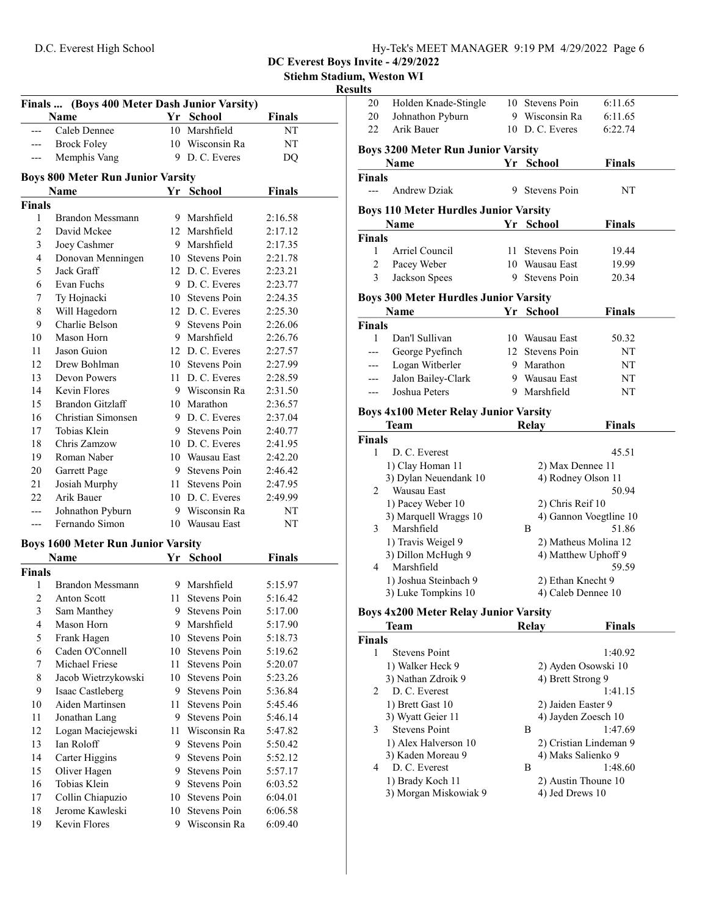|  | Hy-Tek's MEET MANAGER 9:19 PM 4/29/2022 Page 6 |  |  |
|--|------------------------------------------------|--|--|
|  |                                                |  |  |

Stiehm Stadium, Weston WI

#### Resul

|                    | Finals  (Boys 400 Meter Dash Junior Varsity) |     |                                  |               |
|--------------------|----------------------------------------------|-----|----------------------------------|---------------|
|                    | Name                                         |     | Yr School                        | <b>Finals</b> |
|                    | Caleb Dennee                                 |     | 10 Marshfield                    | NT            |
|                    | <b>Brock Foley</b>                           |     | 10 Wisconsin Ra                  | NΤ            |
|                    | Memphis Vang                                 |     | 9 D.C. Everes                    | DQ            |
|                    | <b>Boys 800 Meter Run Junior Varsity</b>     |     |                                  |               |
|                    | Name                                         |     | Yr School                        | <b>Finals</b> |
| <b>Finals</b>      |                                              |     |                                  |               |
| 1                  | Brandon Messmann                             |     | 9 Marshfield                     | 2:16.58       |
| 2                  | David Mckee                                  |     | 12 Marshfield                    | 2:17.12       |
| 3                  | Joey Cashmer                                 |     | 9 Marshfield                     | 2:17.35       |
| 4                  | Donovan Menningen                            |     | 10 Stevens Poin                  | 2:21.78       |
| 5                  | Jack Graff                                   |     | 12 D.C. Everes                   | 2:23.21       |
| 6                  | Evan Fuchs                                   |     | 9 D.C. Everes                    | 2:23.77       |
| 7                  | Ty Hojnacki                                  |     | 10 Stevens Poin                  | 2:24.35       |
| 8                  | Will Hagedorn                                |     | 12 D.C. Everes                   | 2:25.30       |
| 9                  | Charlie Belson                               |     | 9 Stevens Poin                   | 2:26.06       |
| 10                 | Mason Horn                                   |     | 9 Marshfield                     | 2:26.76       |
| 11                 | Jason Guion                                  |     | 12 D. C. Everes                  | 2:27.57       |
| 12                 | Drew Bohlman                                 |     | 10 Stevens Poin                  | 2:27.99       |
| 13                 | Devon Powers                                 |     | 11 D. C. Everes                  | 2:28.59       |
| 14                 | Kevin Flores                                 |     | 9 Wisconsin Ra                   | 2:31.50       |
| 15                 | Brandon Gitzlaff                             |     | 10 Marathon                      | 2:36.57       |
| 16                 | Christian Simonsen                           |     | 9 D. C. Everes                   | 2:37.04       |
| 17                 | Tobias Klein                                 |     | 9 Stevens Poin                   | 2:40.77       |
| 18                 | Chris Zamzow                                 |     | 10 D.C. Everes                   | 2:41.95       |
| 19                 | Roman Naber                                  |     | 10 Wausau East                   | 2:42.20       |
| 20                 |                                              |     | 9 Stevens Poin                   | 2:46.42       |
| 21                 | Garrett Page                                 |     | 11 Stevens Poin                  |               |
|                    | Josiah Murphy                                |     | 10 D.C. Everes                   | 2:47.95       |
| 22                 | Arik Bauer                                   |     |                                  | 2:49.99       |
| ---                | Johnathon Pyburn<br>Fernando Simon           |     | 9 Wisconsin Ra<br>10 Wausau East | NΤ            |
| ---                |                                              |     |                                  | NΤ            |
|                    | <b>Boys 1600 Meter Run Junior Varsity</b>    |     |                                  |               |
|                    | <b>Name</b>                                  |     | Yr School                        | <b>Finals</b> |
| <b>Finals</b><br>1 | Brandon Messmann                             |     | 9 Marshfield                     |               |
|                    |                                              |     |                                  | 5:15.97       |
| 2                  | <b>Anton Scott</b>                           | 11. | Stevens Poin                     | 5:16.42       |
| 3                  | Sam Manthey                                  | 9   | Stevens Poin                     | 5:17.00       |
| 4                  | Mason Horn                                   | 9.  | Marshfield                       | 5:17.90       |
| 5                  | Frank Hagen                                  |     | 10 Stevens Poin                  | 5:18.73       |
| 6                  | Caden O'Connell                              |     | 10 Stevens Poin                  | 5:19.62       |
| 7                  | Michael Friese                               | 11  | Stevens Poin                     | 5:20.07       |
| 8                  | Jacob Wietrzykowski                          |     | 10 Stevens Poin                  | 5:23.26       |
| 9                  | Isaac Castleberg                             | 9.  | Stevens Poin                     | 5:36.84       |
| 10                 | Aiden Martinsen                              | 11  | Stevens Poin                     | 5:45.46       |
| 11                 | Jonathan Lang                                | 9.  | Stevens Poin                     | 5:46.14       |
| 12                 | Logan Maciejewski                            | 11  | Wisconsin Ra                     | 5:47.82       |
| 13                 | Ian Roloff                                   | 9.  | Stevens Poin                     | 5:50.42       |
| 14                 | Carter Higgins                               | 9.  | Stevens Poin                     | 5:52.12       |
| 15                 | Oliver Hagen                                 | 9.  | Stevens Poin                     | 5:57.17       |
| 16                 | Tobias Klein                                 |     | 9 Stevens Poin                   | 6:03.52       |
| 17                 | Collin Chiapuzio                             |     | 10 Stevens Poin                  | 6:04.01       |
| 18                 | Jerome Kawleski                              | 10  | Stevens Poin                     | 6:06.58       |
| 19                 | Kevin Flores                                 | 9   | Wisconsin Ra                     | 6:09.40       |

| sults           |                                                             |    |                                        |               |  |
|-----------------|-------------------------------------------------------------|----|----------------------------------------|---------------|--|
| 20              | Holden Knade-Stingle                                        |    | 10 Stevens Poin                        | 6:11.65       |  |
| 20              | Johnathon Pyburn                                            |    | 9 Wisconsin Ra                         | 6:11.65       |  |
| 22              | Arik Bauer                                                  |    | 10 D.C. Everes                         | 6:22.74       |  |
|                 | <b>Boys 3200 Meter Run Junior Varsity</b>                   |    |                                        |               |  |
|                 | <b>Name</b>                                                 |    | Yr School                              | <b>Finals</b> |  |
| Finals<br>$---$ | <b>Andrew Dziak</b>                                         |    | 9 Stevens Poin                         | NT            |  |
|                 | <b>Boys 110 Meter Hurdles Junior Varsity</b>                |    |                                        |               |  |
|                 | Name                                                        | Yr | <b>School</b>                          | <b>Finals</b> |  |
| <b>Finals</b>   |                                                             |    |                                        |               |  |
| 1               | Arriel Council                                              | 11 | Stevens Poin                           | 19.44         |  |
| $\overline{c}$  | Pacey Weber                                                 |    | 10 Wausau East                         | 19.99         |  |
| 3               | Jackson Spees                                               | 9. | Stevens Poin                           | 20.34         |  |
|                 | <b>Boys 300 Meter Hurdles Junior Varsity</b><br><b>Name</b> |    | Yr School                              | <b>Finals</b> |  |
| <b>Finals</b>   |                                                             |    |                                        |               |  |
| 1               | Dan'l Sullivan                                              |    | 10 Wausau East                         | 50.32         |  |
| $---$           | George Pyefinch                                             |    | 12 Stevens Poin                        | NT            |  |
| ---             | Logan Witberler                                             |    | 9 Marathon                             | NΤ            |  |
| ---             | Jalon Bailey-Clark                                          |    | 9 Wausau East                          | NΤ            |  |
| $---$           | Joshua Peters                                               |    | 9 Marshfield                           | NT            |  |
|                 |                                                             |    |                                        |               |  |
|                 | <b>Boys 4x100 Meter Relay Junior Varsity</b><br>Team        |    | <b>Relay</b>                           | <b>Finals</b> |  |
| Finals          |                                                             |    |                                        |               |  |
| 1               | D. C. Everest                                               |    |                                        | 45.51         |  |
|                 | 1) Clay Homan 11                                            |    | 2) Max Dennee 11                       |               |  |
|                 | 3) Dylan Neuendank 10                                       |    | 4) Rodney Olson 11                     |               |  |
| 2               | Wausau East                                                 |    |                                        | 50.94         |  |
|                 | 1) Pacey Weber 10                                           |    | 2) Chris Reif 10                       |               |  |
|                 | 3) Marquell Wraggs 10                                       |    | 4) Gannon Voegtline 10                 |               |  |
| 3               | Marshfield                                                  |    | B                                      | 51.86         |  |
|                 | 1) Travis Weigel 9                                          |    | 2) Matheus Molina 12                   |               |  |
|                 | 3) Dillon McHugh 9                                          |    | 4) Matthew Uphoff 9                    |               |  |
|                 | 4 Marshfield                                                |    |                                        | 59.59         |  |
|                 | 1) Joshua Steinbach 9                                       |    | 2) Ethan Knecht 9                      |               |  |
|                 | 3) Luke Tompkins 10                                         |    | 4) Caleb Dennee 10                     |               |  |
|                 | <b>Boys 4x200 Meter Relay Junior Varsity</b>                |    |                                        |               |  |
|                 | Team                                                        |    | Relay                                  | <b>Finals</b> |  |
| <b>Finals</b>   |                                                             |    |                                        |               |  |
| 1               | <b>Stevens Point</b>                                        |    |                                        | 1:40.92       |  |
|                 | 1) Walker Heck 9                                            |    | 2) Ayden Osowski 10                    |               |  |
|                 | 3) Nathan Zdroik 9                                          |    | 4) Brett Strong 9                      |               |  |
| 2               | D. C. Everest                                               |    |                                        | 1:41.15       |  |
|                 | 1) Brett Gast 10                                            |    | 2) Jaiden Easter 9                     |               |  |
|                 | 3) Wyatt Geier 11                                           |    | 4) Jayden Zoesch 10                    |               |  |
| 3               | <b>Stevens Point</b>                                        |    | Β                                      | 1:47.69       |  |
|                 | 1) Alex Halverson 10                                        |    | 2) Cristian Lindeman 9                 |               |  |
|                 | 3) Kaden Moreau 9                                           |    | 4) Maks Salienko 9                     |               |  |
| 4               | D. C. Everest                                               |    | В                                      | 1:48.60       |  |
|                 | 1) Brady Koch 11<br>3) Morgan Miskowiak 9                   |    | 2) Austin Thoune 10<br>4) Jed Drews 10 |               |  |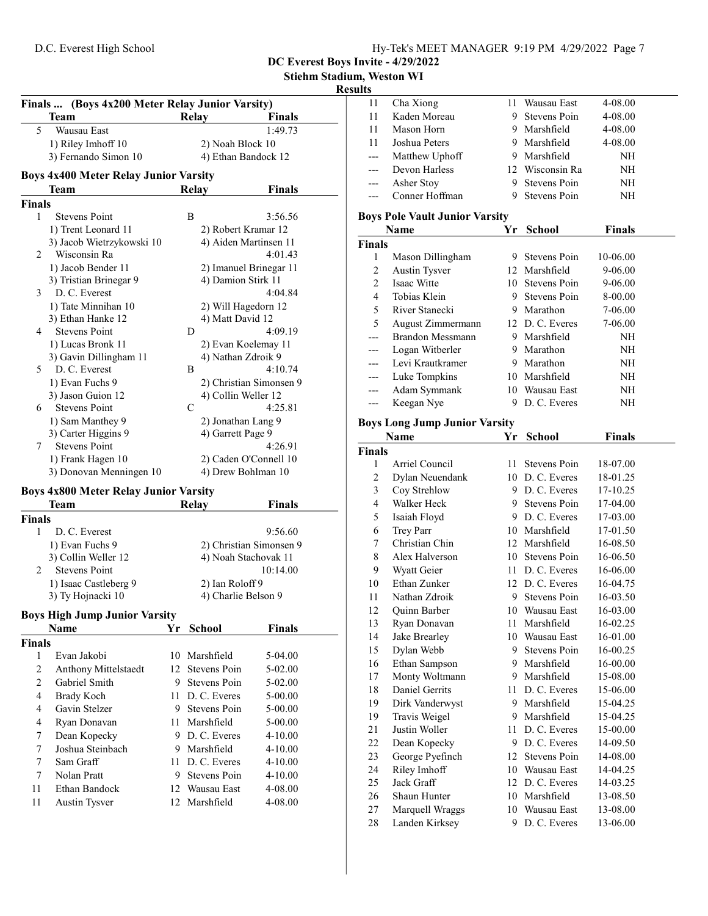| Hy-Tek's MEET MANAGER 9:19 PM 4/29/2022 Page 7 |  |  |
|------------------------------------------------|--|--|
|                                                |  |  |

DC Everest Boys Invite - 4/29/2022

Stiehm Stadium, Weston WI

# Results

| Finals  (Boys 4x200 Meter Relay Junior Varsity) |                                              |               |                         |  |
|-------------------------------------------------|----------------------------------------------|---------------|-------------------------|--|
|                                                 | <b>Team</b>                                  | Relay         | <b>Finals</b>           |  |
| 5                                               | <b>Wausau East</b>                           |               | 1:49.73                 |  |
|                                                 | 1) Riley Imhoff 10                           |               | 2) Noah Block 10        |  |
|                                                 | 3) Fernando Simon 10                         |               | 4) Ethan Bandock 12     |  |
|                                                 | <b>Boys 4x400 Meter Relay Junior Varsity</b> |               |                         |  |
|                                                 | <b>Team</b>                                  | Relay         | <b>Finals</b>           |  |
| <b>Finals</b>                                   |                                              |               |                         |  |
| $\mathbf{1}$                                    | <b>Stevens Point</b>                         | B             | 3:56.56                 |  |
|                                                 | 1) Trent Leonard 11                          |               | 2) Robert Kramar 12     |  |
|                                                 | 3) Jacob Wietrzykowski 10                    |               | 4) Aiden Martinsen 11   |  |
| 2                                               | Wisconsin Ra                                 |               | 4:01.43                 |  |
|                                                 | 1) Jacob Bender 11                           |               | 2) Imanuel Brinegar 11  |  |
|                                                 | 3) Tristian Brinegar 9                       |               | 4) Damion Stirk 11      |  |
| $\mathcal{E}$                                   | D. C. Everest                                |               | 4:04.84                 |  |
|                                                 | 1) Tate Minnihan 10                          |               | 2) Will Hagedorn 12     |  |
|                                                 | 3) Ethan Hanke 12                            |               | 4) Matt David 12        |  |
| 4                                               | <b>Stevens Point</b>                         | D             | 4:09.19                 |  |
|                                                 | 1) Lucas Bronk 11                            |               | 2) Evan Koelemay 11     |  |
|                                                 | 3) Gavin Dillingham 11                       |               | 4) Nathan Zdroik 9      |  |
| 5                                               | D. C. Everest                                | B             | 4:10.74                 |  |
|                                                 | 1) Evan Fuchs 9                              |               | 2) Christian Simonsen 9 |  |
|                                                 | 3) Jason Guion 12                            |               | 4) Collin Weller 12     |  |
| 6                                               | <b>Stevens Point</b>                         | $\mathcal{C}$ | 4:25.81                 |  |
|                                                 | 1) Sam Manthey 9                             |               | 2) Jonathan Lang 9      |  |
|                                                 | 3) Carter Higgins 9                          |               | 4) Garrett Page 9       |  |
| 7                                               | <b>Stevens Point</b>                         |               | 4:26.91                 |  |
|                                                 | 1) Frank Hagen 10                            |               | 2) Caden O'Connell 10   |  |
|                                                 | 3) Donovan Menningen 10                      |               | 4) Drew Bohlman 10      |  |
|                                                 | <b>Boys 4x800 Meter Relay Junior Varsity</b> |               |                         |  |
|                                                 | <b>Team</b>                                  | Relay         | <b>Finals</b>           |  |

| Team                                  | Relay           | Finals                  |
|---------------------------------------|-----------------|-------------------------|
| <b>Finals</b>                         |                 |                         |
| D. C. Everest                         |                 | 9:56.60                 |
| 1) Evan Fuchs 9                       |                 | 2) Christian Simonsen 9 |
| 3) Collin Weller 12                   |                 | 4) Noah Stachovak 11    |
| <b>Stevens Point</b><br>$\mathcal{D}$ |                 | 10:14.00                |
| 1) Isaac Castleberg 9                 | 2) Ian Roloff 9 |                         |
| 3) Ty Hojnacki 10                     |                 | 4) Charlie Belson 9     |

# Boys High Jump Junior Varsity

|               | <b>Name</b>                 | Yr  | <b>School</b>   | <b>Finals</b> |
|---------------|-----------------------------|-----|-----------------|---------------|
| <b>Finals</b> |                             |     |                 |               |
| 1             | Evan Jakobi                 |     | 10 Marshfield   | 5-04.00       |
| 2             | <b>Anthony Mittelstaedt</b> |     | 12 Stevens Poin | $5-02.00$     |
| 2             | Gabriel Smith               | 9   | Stevens Poin    | $5-02.00$     |
| 4             | Brady Koch                  | 11. | D. C. Everes    | 5-00.00       |
| 4             | Gavin Stelzer               | 9.  | Stevens Poin    | 5-00.00       |
| 4             | Ryan Donavan                |     | 11 Marshfield   | 5-00.00       |
| 7             | Dean Kopecky                | 9.  | D. C. Everes    | $4 - 10.00$   |
| 7             | Joshua Steinbach            | 9   | Marshfield      | $4 - 10.00$   |
| 7             | Sam Graff                   |     | 11 D. C. Everes | $4 - 10.00$   |
| 7             | Nolan Pratt                 | 9   | Stevens Poin    | $4 - 10.00$   |
| 11            | Ethan Bandock               |     | 12 Wausau East  | 4-08.00       |
| 11            | Austin Tysver               |     | 12 Marshfield   | 4-08.00       |

| 11                  | Cha Xiong                             | 11  | Wausau East                    | 4-08.00              |  |
|---------------------|---------------------------------------|-----|--------------------------------|----------------------|--|
| 11                  | Kaden Moreau                          | 9.  | <b>Stevens Poin</b>            | 4-08.00              |  |
| 11                  | Mason Horn                            | 9.  | Marshfield                     | 4-08.00              |  |
| 11                  | Joshua Peters                         |     | 9 Marshfield                   | 4-08.00              |  |
| $---$               | Matthew Uphoff                        |     | 9 Marshfield                   | NH                   |  |
| ---                 | Devon Harless                         |     | 12 Wisconsin Ra                | NH                   |  |
| ---                 | Asher Stoy                            | 9   | Stevens Poin                   | NH                   |  |
| $---$               | Conner Hoffman                        | 9.  | Stevens Poin                   | NH                   |  |
|                     | <b>Boys Pole Vault Junior Varsity</b> |     |                                |                      |  |
|                     | <b>Name</b>                           | Yr  | <b>School</b>                  | <b>Finals</b>        |  |
| Finals              |                                       |     |                                |                      |  |
| 1                   | Mason Dillingham                      | 9.  | Stevens Poin                   | 10-06.00             |  |
| $\overline{c}$      | Austin Tysver                         |     | 12 Marshfield                  | 9-06.00              |  |
| $\overline{c}$      | Isaac Witte                           | 10  | Stevens Poin                   | 9-06.00              |  |
| $\overline{4}$      | Tobias Klein                          | 9.  | Stevens Poin                   | 8-00.00              |  |
| 5                   | River Stanecki                        |     | 9 Marathon                     | 7-06.00              |  |
| 5                   | August Zimmermann                     |     | 12 D. C. Everes                | 7-06.00              |  |
| ---                 | Brandon Messmann                      |     | 9 Marshfield                   | NH                   |  |
| ---                 | Logan Witberler                       |     | 9 Marathon                     | NH                   |  |
| ---                 | Levi Krautkramer                      |     | 9 Marathon                     | NH                   |  |
| ---                 | Luke Tompkins                         |     | 10 Marshfield                  | NH                   |  |
| ---                 | Adam Symmank                          |     | 10 Wausau East                 | NH                   |  |
| ---                 | Keegan Nye                            | 9.  | D. C. Everes                   | NH                   |  |
|                     |                                       |     |                                |                      |  |
|                     | <b>Boys Long Jump Junior Varsity</b>  |     |                                |                      |  |
|                     | Name                                  | Yr. | School                         | <b>Finals</b>        |  |
| Finals              |                                       |     |                                |                      |  |
| 1                   | Arriel Council                        | 11. | <b>Stevens Poin</b>            | 18-07.00             |  |
| $\overline{c}$      | Dylan Neuendank                       |     | 10 D.C. Everes                 | 18-01.25             |  |
| $\mathfrak{Z}$      | Coy Strehlow                          |     | 9 D.C. Everes                  | 17-10.25             |  |
| $\overline{4}$<br>5 | Walker Heck                           | 9.  | Stevens Poin                   | 17-04.00             |  |
|                     | Isaiah Floyd                          |     | 9 D.C. Everes                  | 17-03.00             |  |
| 6<br>7              | Trey Parr<br>Christian Chin           |     | 10 Marshfield<br>12 Marshfield | 17-01.50             |  |
| 8                   | Alex Halverson                        |     | 10 Stevens Poin                | 16-08.50             |  |
| 9                   |                                       |     | 11 D. C. Everes                | 16-06.50<br>16-06.00 |  |
| 10                  | Wyatt Geier<br>Ethan Zunker           |     | 12 D. C. Everes                |                      |  |
| 11                  | Nathan Zdroik                         | 9.  | Stevens Poin                   | 16-04.75<br>16-03.50 |  |
| 12                  | Quinn Barber                          |     | 10 Wausau East                 | 16-03.00             |  |
| 13                  | Ryan Donavan                          | 11  | Marshfield                     | 16-02.25             |  |
| 14                  | Jake Brearley                         | 10  | Wausau East                    | 16-01.00             |  |
| 15                  | Dylan Webb                            | 9.  | <b>Stevens Poin</b>            | 16-00.25             |  |
| 16                  | Ethan Sampson                         | 9.  | Marshfield                     | 16-00.00             |  |
| 17                  | Monty Woltmann                        | 9.  | Marshfield                     | 15-08.00             |  |
| 18                  | Daniel Gerrits                        | 11  | D. C. Everes                   | 15-06.00             |  |
| 19                  | Dirk Vanderwyst                       | 9   | Marshfield                     | 15-04.25             |  |
| 19                  | Travis Weigel                         | 9   | Marshfield                     | 15-04.25             |  |
| 21                  | Justin Woller                         | 11  | D. C. Everes                   | 15-00.00             |  |
| 22                  | Dean Kopecky                          | 9.  | D. C. Everes                   | 14-09.50             |  |
| 23                  | George Pyefinch                       | 12  | <b>Stevens Poin</b>            | 14-08.00             |  |
| 24                  | Riley Imhoff                          | 10  | Wausau East                    | 14-04.25             |  |
| 25                  | Jack Graff                            | 12  | D. C. Everes                   | 14-03.25             |  |
| 26                  | Shaun Hunter                          | 10  | Marshfield                     | 13-08.50             |  |
| 27                  | Marquell Wraggs                       | 10  | Wausau East                    | 13-08.00             |  |
| 28                  | Landen Kirksey                        |     | 9 D.C. Everes                  | 13-06.00             |  |
|                     |                                       |     |                                |                      |  |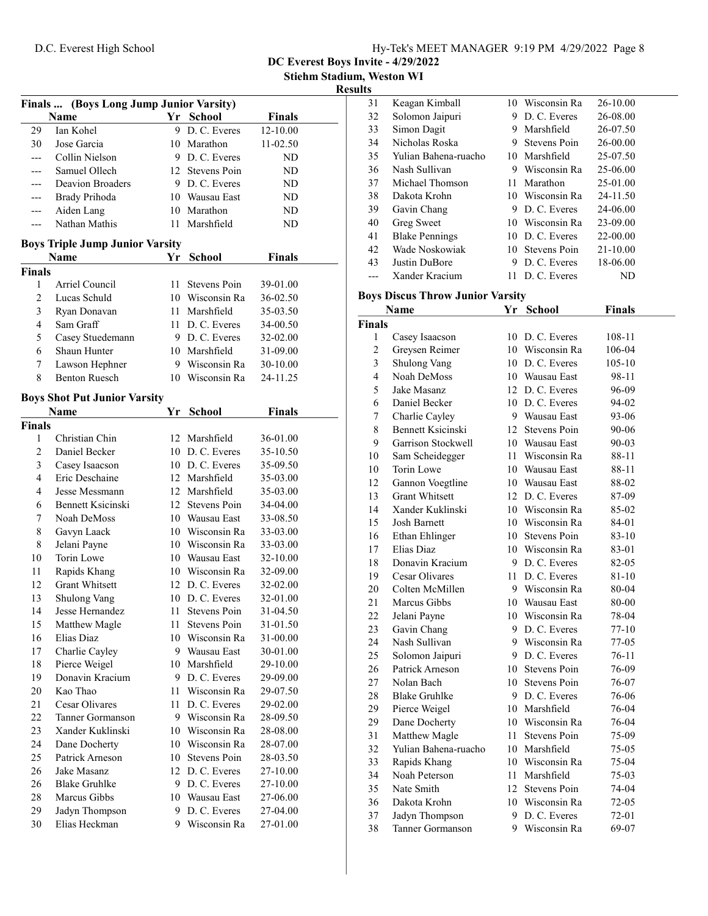DC Everest Boys Invite - 4/29/2022

Stiehm Stadium, Weston WI

# Results

| Finals  (Boys Long Jump Junior Varsity) |                                        |      |                 |               |  |
|-----------------------------------------|----------------------------------------|------|-----------------|---------------|--|
|                                         | Name                                   |      | Yr School       | <b>Finals</b> |  |
| 29                                      | Ian Kohel                              |      | 9 D.C. Everes   | 12-10.00      |  |
| 30                                      | Jose Garcia                            |      | 10 Marathon     | 11-02.50      |  |
|                                         | Collin Nielson                         |      | 9 D. C. Everes  | ND            |  |
|                                         | Samuel Ollech                          |      | 12 Stevens Poin | ND            |  |
| ---                                     | <b>Deavion Broaders</b>                |      | 9 D.C. Everes   | ND            |  |
| ---                                     | <b>Brady Prihoda</b>                   |      | 10 Wausau East  | ND            |  |
| ---                                     | Aiden Lang                             |      | 10 Marathon     | ND            |  |
| ---                                     | Nathan Mathis                          |      | 11 Marshfield   | ND            |  |
|                                         | <b>Boys Triple Jump Junior Varsity</b> |      |                 |               |  |
|                                         | <b>Name</b>                            | Yr   | <b>School</b>   | <b>Finals</b> |  |
| <b>Finals</b>                           |                                        |      |                 |               |  |
| 1                                       | Arriel Council                         | 11   | Stevens Poin    | 39-01.00      |  |
| 2                                       | Lucas Schuld                           |      | 10 Wisconsin Ra | 36-02.50      |  |
| 3                                       | Ryan Donavan                           |      | 11 Marshfield   | 35-03.50      |  |
| 4                                       | Sam Graff                              |      | 11 D. C. Everes | 34-00.50      |  |
| 5                                       | Casey Stuedemann                       |      | 9 D.C. Everes   | 32-02.00      |  |
| 6                                       | Shaun Hunter                           |      | 10 Marshfield   | 31-09.00      |  |
| 7                                       | Lawson Hephner                         |      | 9 Wisconsin Ra  | 30-10.00      |  |
| 8                                       | <b>Benton Ruesch</b>                   |      | 10 Wisconsin Ra | 24-11.25      |  |
|                                         |                                        |      |                 |               |  |
|                                         | <b>Boys Shot Put Junior Varsity</b>    |      |                 |               |  |
|                                         | Name                                   | Υr   | <b>School</b>   | Finals        |  |
| <b>Finals</b>                           |                                        |      |                 |               |  |
| 1                                       | Christian Chin                         |      | 12 Marshfield   | 36-01.00      |  |
| 2                                       | Daniel Becker                          |      | 10 D.C. Everes  | 35-10.50      |  |
| 3                                       | Casey Isaacson                         |      | 10 D.C. Everes  | 35-09.50      |  |
| 4                                       | Eric Deschaine                         |      | 12 Marshfield   | 35-03.00      |  |
| 4                                       | Jesse Messmann                         |      | 12 Marshfield   | 35-03.00      |  |
| 6                                       | Bennett Ksicinski                      |      | 12 Stevens Poin | 34-04.00      |  |
| 7                                       | Noah DeMoss                            |      | 10 Wausau East  | 33-08.50      |  |
| 8                                       | Gavyn Laack                            |      | 10 Wisconsin Ra | 33-03.00      |  |
| 8                                       | Jelani Payne                           |      | 10 Wisconsin Ra | 33-03.00      |  |
| 10                                      | Torin Lowe                             |      | 10 Wausau East  | 32-10.00      |  |
| 11                                      | Rapids Khang                           |      | 10 Wisconsin Ra | 32-09.00      |  |
| 12                                      | <b>Grant Whitsett</b>                  |      | 12 D.C. Everes  | 32-02.00      |  |
| 13                                      | <b>Shulong Vang</b>                    |      | 10 D.C. Everes  | 32-01.00      |  |
| 14                                      | Jesse Hernandez                        | 11 - | Stevens Poin    | 31-04.50      |  |
| 15                                      | Matthew Magle                          | 11   | Stevens Poin    | 31-01.50      |  |
| 16                                      | Elias Diaz                             | 10   | Wisconsin Ra    | 31-00.00      |  |
| 17                                      | Charlie Cayley                         |      | 9 Wausau East   | 30-01.00      |  |
| 18                                      | Pierce Weigel                          |      | 10 Marshfield   | 29-10.00      |  |
| 19                                      | Donavin Kracium                        |      | 9 D.C. Everes   | 29-09.00      |  |
| 20                                      | Kao Thao                               | 11   | Wisconsin Ra    | 29-07.50      |  |
| 21                                      | Cesar Olivares                         | 11   | D. C. Everes    | 29-02.00      |  |
| 22                                      | Tanner Gormanson                       |      | 9 Wisconsin Ra  | 28-09.50      |  |
| 23                                      | Xander Kuklinski                       |      | 10 Wisconsin Ra | 28-08.00      |  |
| 24                                      | Dane Docherty                          |      | 10 Wisconsin Ra | 28-07.00      |  |
| 25                                      | Patrick Arneson                        |      | 10 Stevens Poin | 28-03.50      |  |
| 26                                      | Jake Masanz                            |      | 12 D.C. Everes  | 27-10.00      |  |
| 26                                      | <b>Blake Gruhlke</b>                   |      | 9 D.C. Everes   | 27-10.00      |  |
| 28                                      | Marcus Gibbs                           |      | 10 Wausau East  | 27-06.00      |  |
| 29                                      | Jadyn Thompson                         | 9.   | D. C. Everes    | 27-04.00      |  |
| 30                                      | Elias Heckman                          | 9.   | Wisconsin Ra    | 27-01.00      |  |

| ᄖ  |                       |     |                 |              |
|----|-----------------------|-----|-----------------|--------------|
| 31 | Keagan Kimball        | 10  | Wisconsin Ra    | 26-10.00     |
| 32 | Solomon Jaipuri       | 9.  | D. C. Everes    | 26-08.00     |
| 33 | Simon Dagit           | 9   | Marshfield      | 26-07.50     |
| 34 | Nicholas Roska        | 9   | Stevens Poin    | 26-00.00     |
| 35 | Yulian Bahena-ruacho  | 10  | Marshfield      | 25-07.50     |
| 36 | Nash Sullivan         | 9   | Wisconsin Ra    | 25-06.00     |
| 37 | Michael Thomson       | 11. | Marathon        | 25-01.00     |
| 38 | Dakota Krohn          |     | 10 Wisconsin Ra | 24-11.50     |
| 39 | Gavin Chang           | 9   | D. C. Everes    | 24-06.00     |
| 40 | Greg Sweet            |     | 10 Wisconsin Ra | 23-09.00     |
| 41 | <b>Blake Pennings</b> |     | 10 D.C. Everes  | 22-00.00     |
| 42 | Wade Noskowiak        |     | 10 Stevens Poin | $21 - 10.00$ |
| 43 | Justin DuBore         | 9   | D. C. Everes    | 18-06.00     |
|    | Xander Kracium        | 11  | D. C. Everes    | ND           |

# Boys Discus Throw Junior Varsity

|                         | Name                  |      | Yr School       | <b>Finals</b> |  |
|-------------------------|-----------------------|------|-----------------|---------------|--|
| Finals                  |                       |      |                 |               |  |
| 1                       | Casey Isaacson        |      | 10 D.C. Everes  | 108-11        |  |
| $\overline{c}$          | Greysen Reimer        |      | 10 Wisconsin Ra | 106-04        |  |
| $\overline{\mathbf{3}}$ | Shulong Vang          |      | 10 D.C. Everes  | 105-10        |  |
| $\overline{4}$          | Noah DeMoss           |      | 10 Wausau East  | 98-11         |  |
| 5                       | Jake Masanz           |      | 12 D.C. Everes  | 96-09         |  |
| 6                       | Daniel Becker         |      | 10 D.C. Everes  | 94-02         |  |
| $\boldsymbol{7}$        | Charlie Cayley        |      | 9 Wausau East   | 93-06         |  |
| 8                       | Bennett Ksicinski     |      | 12 Stevens Poin | 90-06         |  |
| 9                       | Garrison Stockwell    |      | 10 Wausau East  | 90-03         |  |
| 10                      | Sam Scheidegger       |      | 11 Wisconsin Ra | 88-11         |  |
| 10                      | Torin Lowe            |      | 10 Wausau East  | 88-11         |  |
| 12                      | Gannon Voegtline      |      | 10 Wausau East  | 88-02         |  |
| 13                      | <b>Grant Whitsett</b> |      | 12 D. C. Everes | 87-09         |  |
| 14                      | Xander Kuklinski      |      | 10 Wisconsin Ra | 85-02         |  |
| 15                      | <b>Josh Barnett</b>   |      | 10 Wisconsin Ra | 84-01         |  |
| 16                      | Ethan Ehlinger        |      | 10 Stevens Poin | 83-10         |  |
| 17                      | Elias Diaz            |      | 10 Wisconsin Ra | 83-01         |  |
| 18                      | Donavin Kracium       |      | 9 D.C. Everes   | 82-05         |  |
| 19                      | Cesar Olivares        |      | 11 D. C. Everes | 81-10         |  |
| 20                      | Colten McMillen       |      | 9 Wisconsin Ra  | 80-04         |  |
| 21                      | Marcus Gibbs          |      | 10 Wausau East  | 80-00         |  |
| 22                      | Jelani Payne          |      | 10 Wisconsin Ra | 78-04         |  |
| 23                      | Gavin Chang           |      | 9 D.C. Everes   | 77-10         |  |
| 24                      | Nash Sullivan         |      | 9 Wisconsin Ra  | 77-05         |  |
| 25                      | Solomon Jaipuri       |      | 9 D.C. Everes   | 76-11         |  |
| 26                      | Patrick Arneson       |      | 10 Stevens Poin | 76-09         |  |
| 27                      | Nolan Bach            | 10   | Stevens Poin    | 76-07         |  |
| 28                      | <b>Blake Gruhlke</b>  |      | 9 D.C. Everes   | 76-06         |  |
| 29                      | Pierce Weigel         |      | 10 Marshfield   | 76-04         |  |
| 29                      | Dane Docherty         |      | 10 Wisconsin Ra | 76-04         |  |
| 31                      | Matthew Magle         | 11 - | Stevens Poin    | 75-09         |  |
| 32                      | Yulian Bahena-ruacho  |      | 10 Marshfield   | 75-05         |  |
| 33                      | Rapids Khang          |      | 10 Wisconsin Ra | 75-04         |  |
| 34                      | Noah Peterson         |      | 11 Marshfield   | 75-03         |  |
| 35                      | Nate Smith            |      | 12 Stevens Poin | 74-04         |  |
| 36                      | Dakota Krohn          |      | 10 Wisconsin Ra | 72-05         |  |
| 37                      | Jadyn Thompson        | 9.   | D. C. Everes    | 72-01         |  |
| 38                      | Tanner Gormanson      | 9    | Wisconsin Ra    | 69-07         |  |